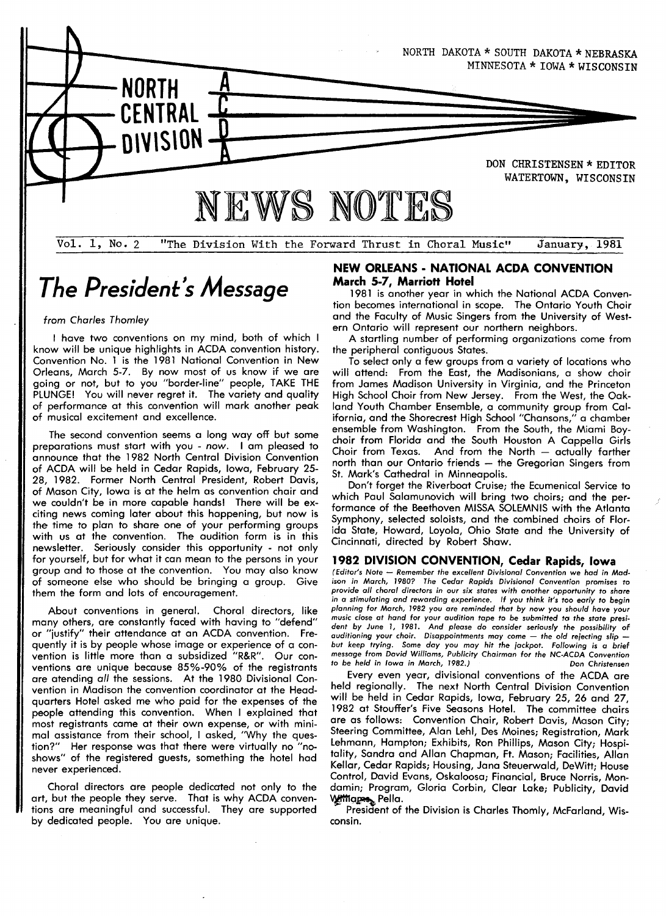

# The President's Message

from Charles Thomley

I have two conventions on my mind, both of which I know will be unique highlights in ACDA convention history. Convention No.1 is the 1981 National Convention in New Orleans, March 5-7. By now most of us know if we are going or not, but to you `'border-line" people, TAKE THE PLUNGE! You will never regret it. The variety and quality of performance at this convention will mark another peak of musical excitement and excellence.

The second convention seems a long way off but some preparations must start with you - now. I am pleased to announce that the 1982 North Central Division Convention of ACDA will be held in Cedar Rapids, Iowa, February 25- 28,1982. Former North Central President, Robert Davis, of Mason City, Iowa is at the helm as convention chair and we couldn't be in more capable hands! There will be exciting news coming later about this happening, but now is the time to plan to share one of your performing groups with us at the convention. The audition form is in this newsletter. Seriously consider this opportunity - not only for yourself, but for what it can mean to the persons in your group and to those at the convention. You may also know of someone else who should be bringing a group. Give them the form and lots of encouragement.

About conventions in general. Choral directors, like many others, are constantly faced with having to ''defend" or "iustify'' their attendance at an ACDA convention. Frequently it is by people whose image or experience of a convention is little more than a subsidized "R&R''. Our conventions are unique because 85%-90% of the registrants are atending a// the sessions. At the 1980 Divisional Convention in Madison the convention coordinator at the Headquarters Hotel asked me who paid for the expenses of the people attending this convention. When I explained that most registrants came at their own expense, or with minimal assistance from their school, I asked, ''Why the question?" Her response was that there were virtually no "noshows" of the registered guests, something the hotel had never experienced.

Choral directors are people dedicated not only to the art, but the people they serve. That is why ACDA conventions are meaningful and successful. They are supported by dedicated people. You are unique.

## NEW ORLEANS - NATIONAL ACDA CONVENTION March 5-7, Marriott Hotel

1981 is another year in which the National ACDA Convention becomes international in scope. The Ontario Youth Choir and the Faculty of Music Singers from the University of Western Ontario will represent our northern neighbors.

A startling number of performing organizations come from the peripheral contiguous States.

To select only a few groups from a variety of locations who will attend: From the East, the Madisonians, a show choir from James Madison University in Virginia, and the Princeton High School Choir from New Jersey. From the West, the Oakland Youth Chamber Ensemble, a community group from Colifornia, and the Shorecrest High School "Chansons," a chamber ensemble from Washington. From the South, the Miami Boychoir from Florida and the South Houston A Cappella Girls Choir from Texas. And from the North  $-$  actually farther north than our Ontario friends - the Gregorian Singers from St. Mark`s Cathedral in Minneapolis.

Don't forget the Riverboat Cruise; the Ecumenical Service to which Paul Salamunovich will bring two choirs; and the performance of the Beethoven MISSA SOLEMNIS with the Atlanta Symphony, selected soloists, and the combined choirs of Florida State, Howard, Loyola, Ohio State and the University of Cincinnati, directed by Robert Show.

# 1982 DIVISION CONVENTION, Cedar Rapids, Iowa

(Editor's Note - Remember the excellent Divisional Convention we had in Madison in March, 1980? The Cedar Rapids Divisionol Convention promises to provide all choral directors in our six states with another opportunity to share planning tor leader the warding experience. If you think it's too early to begin<br>planning for March, 1982 you are reminded that by now you should have your music close at hand for your audition tape to be submitted ta the state president by June I, 1981. And please do consider seriously the possibility of auditioning your choir. Disappointments may come - the old rejecting slip but keep trying. Some day you may hit the jackpot. Following is a brief message from David Williams, Publicity Chairman tor the NC-ACDA Convention lo be held in Iowa in Mcirch, 1982.) Don Christensen

Every even year, divisional conventions of the ACDA are held regionally. The next North Central Division Convention will be held in Cedar Rapids, Iowa, February 25, 26 and 27, 1982 at Stouffer's Five Seasons Hotel. The committee chairs are as follows: Convention Chair, Robert Davis, Mason City; Steering Committee, Alan Lehl, Des Moines; Registration, Mark Lehmann, Hampton; Exhibits, Ron Phillips, Mason City; Hospitality, Sandra and AIlan Chapman, Ft. Mason; Facilities, Allan Kellar, Cedar Rapids; Housing, Jana Steuerwald, Dewitt; House Control, David Evans, Oskaloosa; Financial, Bruce Norris, Mondamin; Program, Gloria Corbin, Clear Lake; Publicity, David validaes, Pella.<br>President of the Division is Charles Thomly, McFarland, Wis-

consin.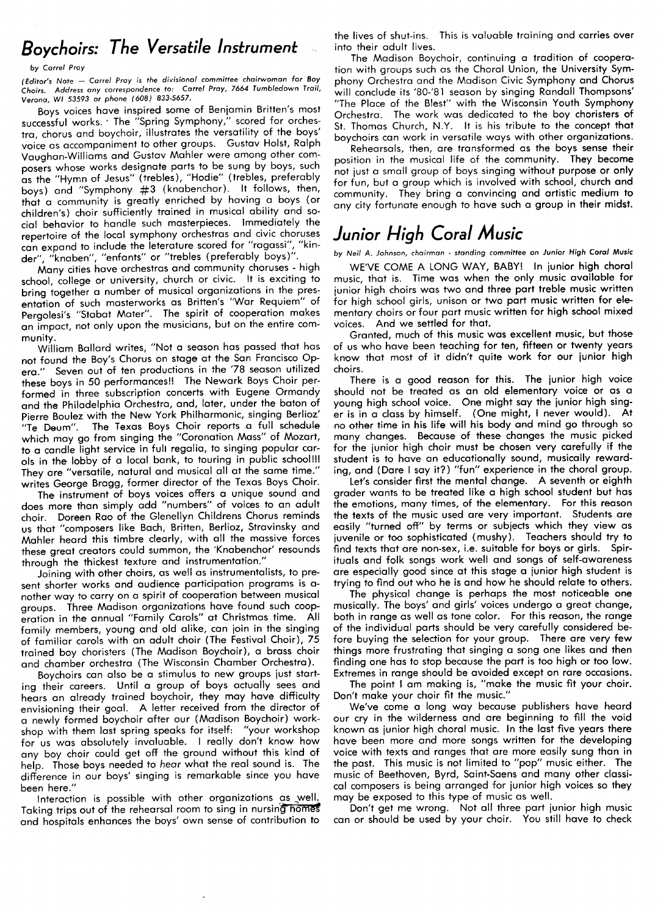# Boychoirs.. The Versatile Instrument

#### by Correl Pray

(Editor's Note - Carrel Pray is the divisional committee chairwoman for Boy Choirs. Address any correspondence to: Carrel Pray, 7664 Tumbledown Trail, Verona, WI 53593 or phone (608) 833-5657.

Boys voices have inspired some of Beniamin Britten's most successful works. . The "Spring Symphony," scored for orchestra, chorus and boychoir, illustrates the versatility of the boys' voice as accompaniment to other groups. Gustav Holst, Ralph Vaughan-Williams and Gustav Mahler were among other composers whose works designate parts to be sung by boys, such as the ''Hymn of Jesus'' (trebles), ''Hodie'' (trebles, preferably boys) and "Symphony #3 (knabenchor). It follows, then, that a community is greatly enriched by having a boys (or children`s) choir sufficiently trained in musical ability and social behavior to handle such masterpieces. Immediately the repertoire of the local symphony orchestras and civic choruses can expand to include the leterature scored for ''ragassi`', ''kinder", "knaben", "enfants" or "trebles (preferably boys)'

Many cities have orchestras and community choruses - high school, college or university, church or civic. It is exciting to bring together a number of musical organizations in the presentation of such masterworks as Britten's "War Requiem" of Pergolesi's "Stabat Mater". The spirit of cooperation makes an impact, not only upon the musicians, but on the entire community.

William Ballard writes, "Not a season has passed that has not found the Boy`s Chorus on stage at the Son Francisco Opera.'' Seven out of ten productions in the `78 season utilized these boys in 50 performances!! The Newark Boys Choir performed in three subscription concerts with Eugene Ormandy and the Philadelphia Orchestra, and, later, under the baton of Pierre Boulez with the New York Philharmonic, singing Berlioz' `'Te Deum'`. The Texas Boys Choir reports \_a full schedule which may go from singing the ''Coronation Mass" of Mozart, to a candle light service in full regalia, to singing popular carols in the lobby of a local bank, to touring in public school!!! They are "versatile, natural and musical all at the same time." writes George Bragg, former director of the Texas Boys Choir.

The instrument of boys voices offers a unique sound and does more than simply add "numbers" of voices to an adult choir. Doreen Rao of the Glenellyn Childrens Chorus reminds us that ''composers like Bach, Britten, Berlioz, Stravinsky and Mahler heard this timbre clearly, with all the massive forces these great creators could summon, the 'Knabenchor' resounds through the thickest texture and instrumentation.''

Joining with other choirs, as well as instrumentalists, to present shorter works and audience participation programs is another way to carry on a spirit of cooperation between musical groups. Three Madison organizations have found such cooperation in the annual "Family Carols" at Christmas time. All family members, young and old alike, can ioin in the singing of familiar carols with an adult choir (The Festival Choir), 75 trained boy choristers (The Madison Boychoir), a brass choir and chamber orchestra (The Wisconsin Chamber Orchestra).

Boychoirs can also be a stimulus to new groups iust starting their careers. Until a group of boys actually sees and hears an already trained boychoir, they may have difficulty envisioning their goal. A letter received from the director of a newly formed boychoir after our (Madison Boychoir) workshop with them last spring speaks for itself: "your workshop for us was absolutely invaluable. I really don't know how any boy choir could get off the ground without this kind of help. Those boys needed to hear what the real sound is. The difference in our boys` singing is remarkable since you have

been here."<br>Interaction is possible with other organizations as well. Taking trips out of the rehearsal room to sing in nursing homes and hospitals enhances the boys` own sense of contribution to the lives of shut-ins. This is valuable training and carries over into their adult lives.

The Madison Boychoir, continuing a tradition of cooperation with groups such as the Choral Union, the University Symphony Orchestra and the Madison Civic Symphony and Chorus will conclude its '80-'81 season by singing Randall Thompsons' "The Place of the Blest" with the Wisconsin Youth Symphony Orchestra. The work was dedicated to the boy choristers of St. Thomas Church, N.Y. It is his tribute to the concept that boychoirs can work in versatile ways with other organizations.

Rehearsals, then, are transformed as the boys sense their position in the musical life of the community. They become not just a small group of boys singing without purpose or only for fun, but a group which is involved with school, church and community. They bring a convincing and artistic medium to any city fortunate enough to have such a group in their midst.

# Junior High Coral Music

by Neil A. Johnson, chairman - standing committee on Junior High Coral Music

WE'VE COME A LONG WAY, BABY! In junior high choral music, that is. Time was when the only music available for iunior high choirs was two and three part treble music written for high school girls, unison or two part music written for elementary choirs or four part music written for high school mixed voices. And we settled for that.

Granted, much of this music was excellent music, but those of us who have been teaching for ten, fifteen or twenty years know that most of it didn't quite work for our junior high choirs.

There is a good reason for this. The junior high voice should not be treated as an old elementary voice or as a young high school voice. One might say the iunior high singer is in a class by himself. (One might, I never would). At no other time in his life will his body and mind go through so many changes. Because of these changes the music picked for the iunior high choir must be chosen very carefully if the student is to have an educationally sound, musically rewarding, and (Dare I say it?) "fun" experience in the choral group.

Let's consider first the mental change. A seventh or eighth grader wants to be treated like a high school student but has the emotions, many times, of the elementary. For this reason the texts of the music used are very important. Students are easily "turned off" by terms or subjects which they view as iuvenile or too sophisticated (mushy). Teachers should try to find texts that are non-sex, i.e. suitable for boys or girls. Spirituals and folk songs work well and songs of self-awareness are especially good since at this stage a iunior high student is trying to find out who he is and how he should relate to others.

The physical change is perhaps the most noticeable one musically. The boys' and girls' voices undergo a great change, both in range as well as tone color. For this reason, the range of the individual parts should be very carefully considered before buying the selection for your group. There are very few things more frustrating that singing a song one likes and then finding one has to stop because the part is too high or too low. Extremes in range should be avoided except on rare occasions.

The point I am making is, "make the music fit your choir. Don't make your choir fit the music."

We've come a long way because publishers have heard our cry in the wilderness and are beginning to fill the void known as iunior high choral music. In the last five years there have been more and more songs written for the developing voice with texts and ranges that are more easily sung than in the past. This music is not limited to "pop" music either. The music of Beethoven, Byrd, Saint-Saens and many other classical composers is being arranged for iunior high voices so they may be exposed to this type of music as well.

Don't get me wrong. Not all three part junior high music can or should be used by your choir. You still have to check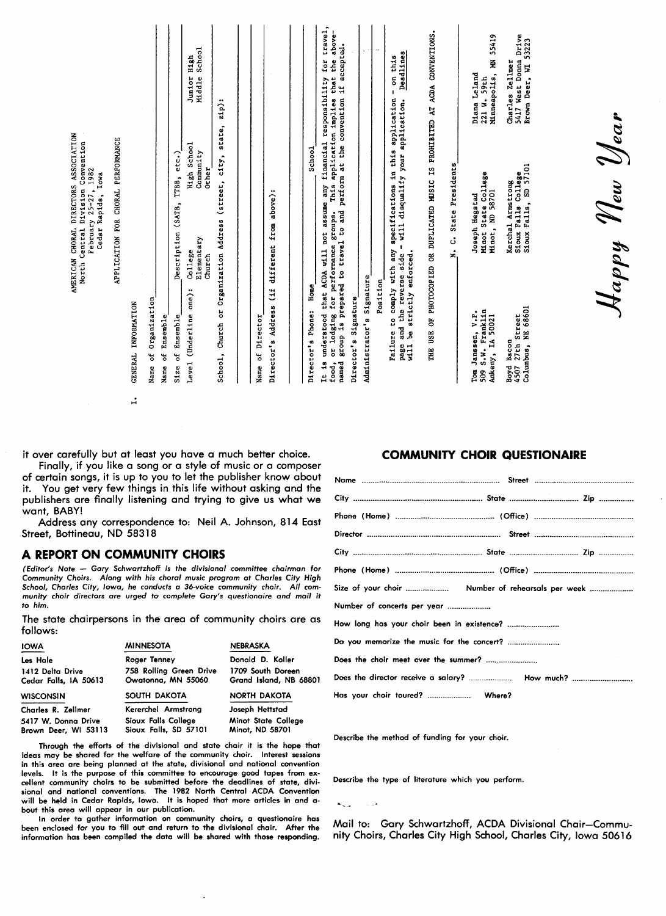it over carefully but at least you have a much better choice.

Finally, if you like a song or a style of music or a composer of certain songs, it is up to you to let the publisher know about it. You get very few things in this life without asking and the publishers are finally listening and trying to give us what we want, BABY!

Address any correspondence to: Neil A. Johnson, 814 East Street, Bottineau, ND 58318

### A REPORT ON COMMUNITY CHOIRS

 $\mathbf{u}$ 

(Editor's Note - Gary Schwartzhoff is the divisional committee chairman for Community Choirs. Along with his choral music program ot Charles City High School, Charles City, Iowa, he conducts a 36-voice community choir. All community choir directors are urged to complete Gary's questionaire and mail it o him.

The state chairpersons in the area of community choirs are as follows:

| <b>IOWA</b>                                 | <b>MINNESOTA</b>                              | <b>NEBRASKA</b>                             |  |  |  |  |  |  |  |  |
|---------------------------------------------|-----------------------------------------------|---------------------------------------------|--|--|--|--|--|--|--|--|
| Les Hale                                    | Roger Tenney                                  | Donald D. Koller                            |  |  |  |  |  |  |  |  |
| 1412 Delta Drive<br>Cedar Falls, IA 50613   | 758 Rolling Green Drive<br>Owatonna, MN 55060 | 1709 South Doreen<br>Grand Island, NB 68801 |  |  |  |  |  |  |  |  |
| <b>WISCONSIN</b>                            | SOUTH DAKOTA                                  | NORTH DAKOTA                                |  |  |  |  |  |  |  |  |
| Charles R. Zellmer                          | Kererchel Armstrong                           | Joseph Hettstad                             |  |  |  |  |  |  |  |  |
| 5417 W. Donna Drive<br>Brown Deer, WI 53113 | Sioux Falls College<br>Sioux Falls, SD 57101  | Minot State College<br>Minot, ND 58701      |  |  |  |  |  |  |  |  |

Through the efforts of the divisional and state chair it is the hope that ideas may be shared for the welfare of the community choir. Interest sessions in this area are being planned at the state, divisional and national convention levels. It is the purpose of this committee to encourage good tapes from excellent community choirs to be submitted before the deadlines of state, divisional and national conventions. The 1982 North Central ACDA Convention will be held in Cedar Rapids, Iowa. It is hoped that more articles in and about this area will appear in our publication.

In order to gather information on community choirs, a questionaire has been enclosed for you to fill out and return to the divisional chair. After the information has been compiled the data will be shared with those responding.

### COMMUNITY CHOIR OUESTIONAIRE

| Phone (Home) …………………………………………(Office)………………………………………… |  |
|-------------------------------------------------------|--|
|                                                       |  |
|                                                       |  |
|                                                       |  |
| Size of your choir   Number of rehearsals per week    |  |
| Number of concerts per year                           |  |
| How long has your choir been in existence?            |  |
| Do you memorize the music for the concert?            |  |
| Does the choir meet over the summer?                  |  |
|                                                       |  |
|                                                       |  |

Describe the method Of funding for your choir.

Describe the type of literature which you perform.

 $\mathbf{K}_{\text{max}}$ 

Mail to: Gory Schwartzhoff, ACDA Divisional Chair-Community Choirs, Charles City High School, Charles City, Iowa 50616

 $\mathcal{H}$ appy Vew Yea.